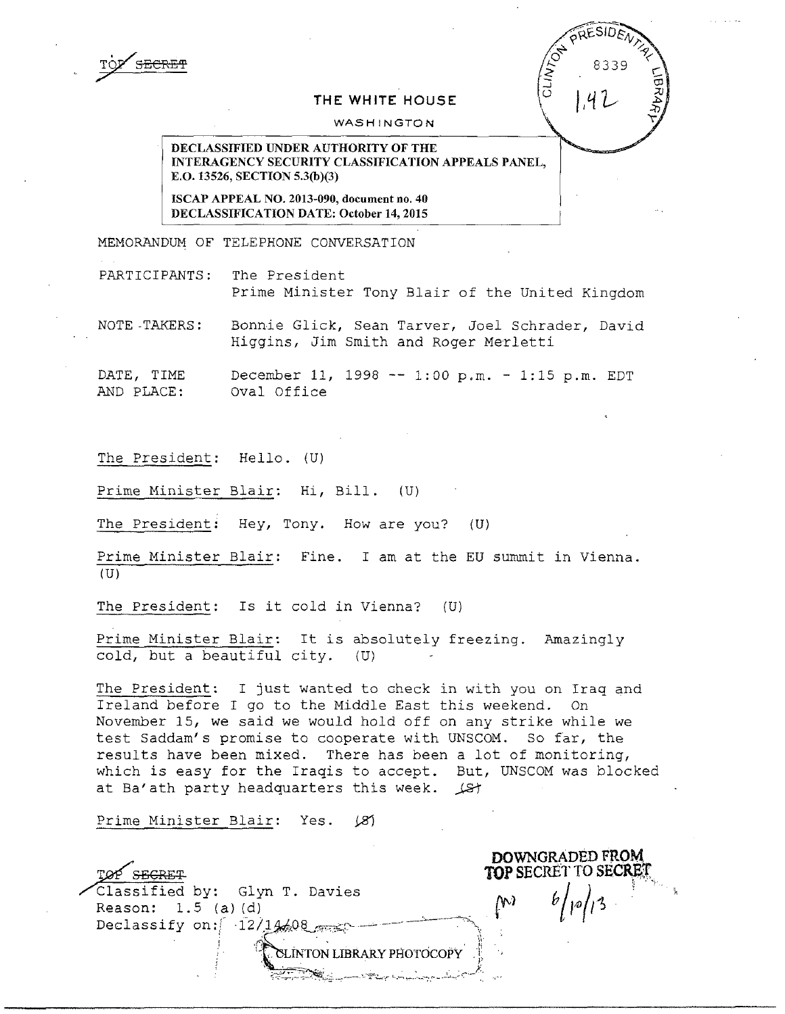## THE WHITE HOUSE

## WASHINGTON

DECLASSIFIED UNDER AUTHORITY OF THE INTERAGENCY SECURITY CLASSIFICATION APPEALS PANEL, E.O. 13526, SECTION 5.3(b)(3)

ISCAP APPEAL NO. 2013-090, document no. 40 DECLASSIFICATION DATE: October 14, 2015

MEMORANDUM OF TELEPHONE CONVERSATION

PARTICIPANTS: The President Prime Minister Tony Blair of the United Kingdom

NOTE -TAKERS: Bonnie Glick, Sean Tarver, Joel Schrader, David Higgins, Jim Smith and Roger Merletti

DATE, TIME December 11, 1998 -- 1:00 p.m. - 1:15 p.m. EDT<br>AND PLACE: Oval Office Oval Office

The President: Hello. (U)

Prime Minister Blair: Hi, Bill. (U)

The President: Hey, Tony. How are you? (U)

Prime Minister Blair: Fine. I am at the EU summit in Vienna.  $(U)$ 

The President: Is it cold in Vienna? (U)

Prime Minister Blair: It is absolutely freezing. Amazingly cold, but a beautiful city. (U)

The President: I just wanted to check in with you on Iraq and Ireland before I go to the Middle East this weekend. On November 15, we said we would hold off on any strike while we test Saddam's promise to cooperate with UNSCOM. So far, the results have been mixed. There has been a lot of monitoring, which is easy for the Iraqis to accept. But, UNSCOM was blocked at Ba'ath party headquarters this week.  $\sqrt{s}$ 

Prime Minister Blair: Yes. (8)

DOWNGRADED FROM  $\epsilon$  effects to secret the second  $\epsilon$  of  $\epsilon$  of  $\epsilon$  of  $\epsilon$  of  $\epsilon$  of  $\epsilon$  of  $\epsilon$  of  $\epsilon$  of  $\epsilon$  of  $\epsilon$  of  $\epsilon$  of  $\epsilon$  of  $\epsilon$  of  $\epsilon$  of  $\epsilon$  of  $\epsilon$  of  $\epsilon$  of  $\epsilon$  of  $\epsilon$  of  $\epsilon$  of  $\epsilon$  of  $\epsilon$  of  $\epsilon$  of  $\epsilon$ ,./"classified by: Glyn T. Davies b/11{) */r-i\_,* , -, , Reason: flt-,\_\_) Reason:  $1.5$  (a) (d) Declassify on:  $\left[ \begin{array}{cc} -12/14408 & \cdots \end{array} \right]$ LINTON LIBRARY PHOTOCOPY ':C~~~;-------·-"f!'Lr "-;, ,. .'-..-,,"---'~.,-c,-J- -.-•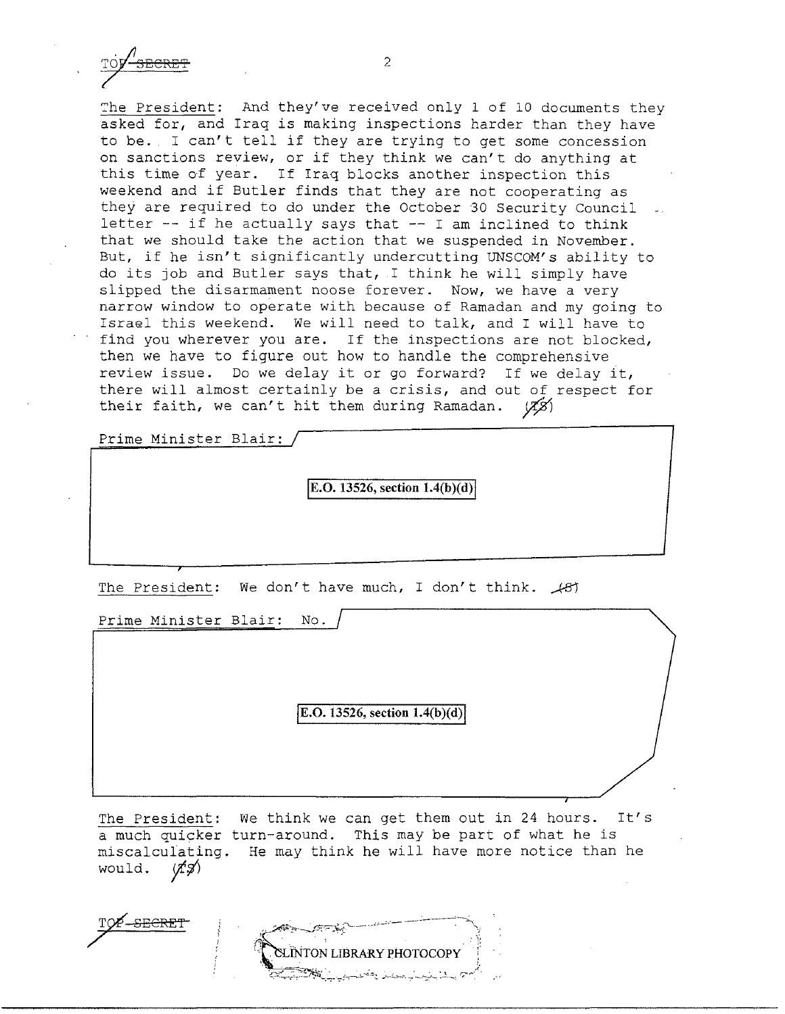The President: And they've received only 1 of 10 documents they asked for, and Iraq is making inspections harder than they have to be. I can't tell if they are trying to get some concession on sanctions review, or if they think we can't do anything at this time of year. If Iraq blocks another inspection this weekend and if Butler finds that they are not cooperating as they are required to do under the October 30 Security Council letter  $--$  if he actually says that  $--$  I am inclined to think that we should take the action that we suspended in November. But, if he isn't significantly undercutting UNSCOM's ability to do its job and Butler says that, I think he will simply have slipped the disarmament noose forever. Now, we have a very narrow window to operate with because of Ramadan and my going to Israel this weekend. We will need to talk, and I will have to find you wherever you are. If the inspections are not blocked, then we have to figure out how to handle the comprehensive review issue. Do we delay it or go forward? If we delay it, there will almost certainly be a crisis, and out of respect for their faith, we can't hit them during Ramadan.  $(X\beta)$ 

Prime Minister Blair:

**E.O. 13526, section 1.4(b)(d)** 

The President: We don't have much, I don't think.  $\angle$ 81

Prime Minister Blair: No.

**E.O. 13526, section 1.4(b)(d)** 

The President: We think we can get them out in 24 hours. It's a much quicker turn-around. This may be part of what he is miscalculating. He may think he will have more notice than he would.  $\langle f\hat{\phi}\rangle$ would.

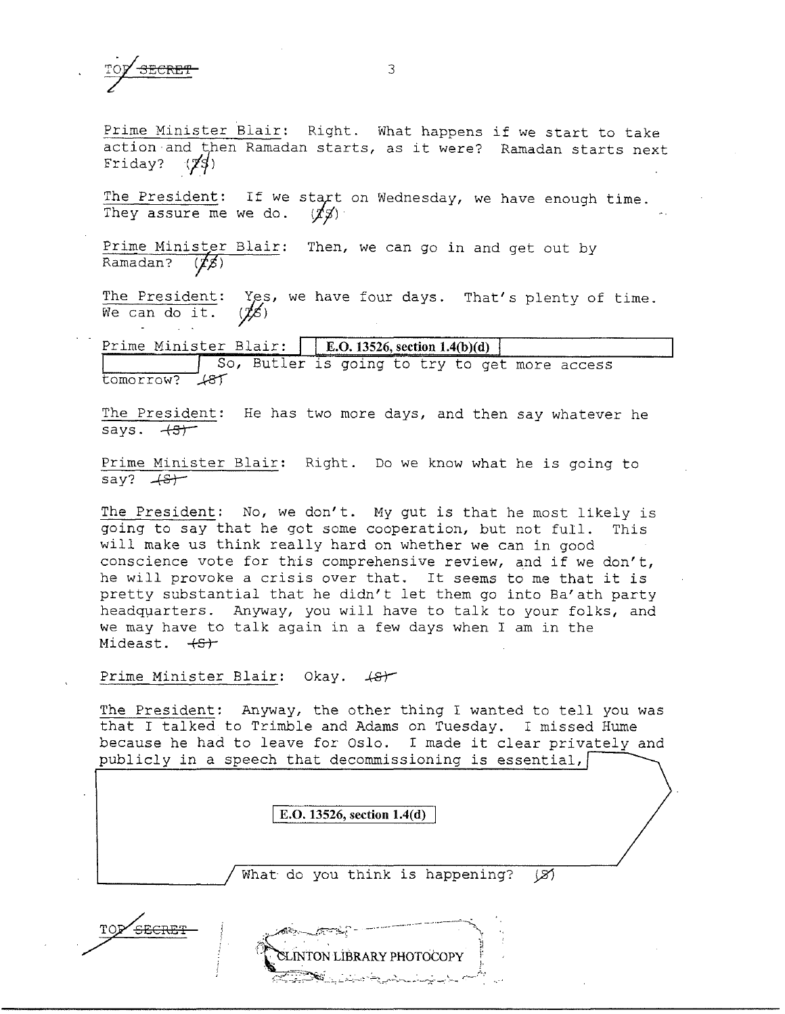Prime Minister Blair: Right. What happens if we start to take action and then Ramadan starts, as it were? Ramadan starts next Friday?  $(\cancel{7}4)$ 

The President: If we start on Wednesday, we have enough time. They assure me we do.  $\langle \chi g \rangle$ 

Prime Minister Blair: Then, we can go in and get out by<br>Ramadan? (\$)

The President: Yes, we have four days. That's plenty of time. We can do it.  $(\cancel{16})$ 

Prime Minister Blair: **E.0.13526, section 1.4(b)(d)**  So, Butler is going to try to get more access tomorrow? *..k8'f* 

The President: He has two more days, and then say whatever he<br>says.  $\overline{+3)^{+}}$ 

Prime Minister Blair: Right. Do we know what he is going to  $say?$   $+8+$ 

The President: No, we don't. My gut is that he most likely is going to say that he got some cooperation, but not full. This will make us think really hard on whether we can in good conscience vote for this comprehensive review, and if we don't, he will provoke a crisis over that. It seems to me that it is pretty substantial that he didn't let them go into Ba'ath party headqµarters. Anyway, you will have to talk to your folks, and we may have to talk again in a few days when I am in the Mideast.  $+S^+$ 

## Prime Minister Blair: Okay.  $\leftarrow$

The President: Anyway, the other thing I wanted to tell you was that I talked to Trimble and Adams on Tuesday. I missed Hume because he had to leave for Oslo. I made it clear privately and publicly in a speech that decommissioning is essential,

I **E.O. 13526, section 1.4(d)** 

What do you think is happening?  $(X)$ 



3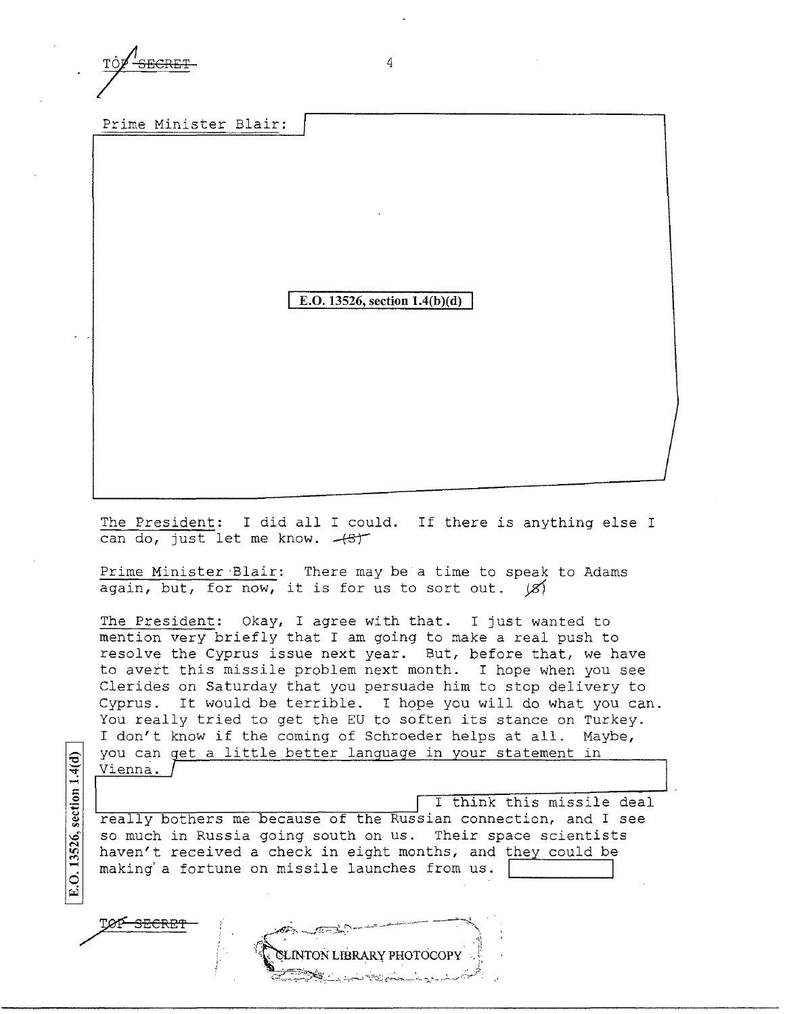Prime Minister Blair:

**E.O. 13526, section 1.4(b)(d)** 

The President: I did all I could. If there is anything else I can do, just let me know.  $+8$ <sup>+</sup>

Prime Minister Blair: There may be a time to speak to Adams again, but, for now, it is for us to sort out.  $\langle \mathcal{S} \rangle$ 

The President: Okay, I agree with that. I just wanted to mention very briefly that I am going to make a real push to resolve the Cyprus issue next year. But, before that, we have to avert this missile problem next month. I hope when you see Clerides on Saturday that you persuade him to stop delivery to Cyprus. It would be terrible. I hope you will do what you can. You really tried to get the EU to soften its stance on Turkey. I don't know if the coming of Schroeder helps at all. Maybe, you can get a little better language in your statement in Vienna.

 $1.4(d)$ section E.O. 13526,

/

I think this missile deal really bothers me because of the Russian connection, and I see so much in Russia going south on us. Their space scientists haven't received a check in eight months, and they could be making' a fortune on missile launches from us.



4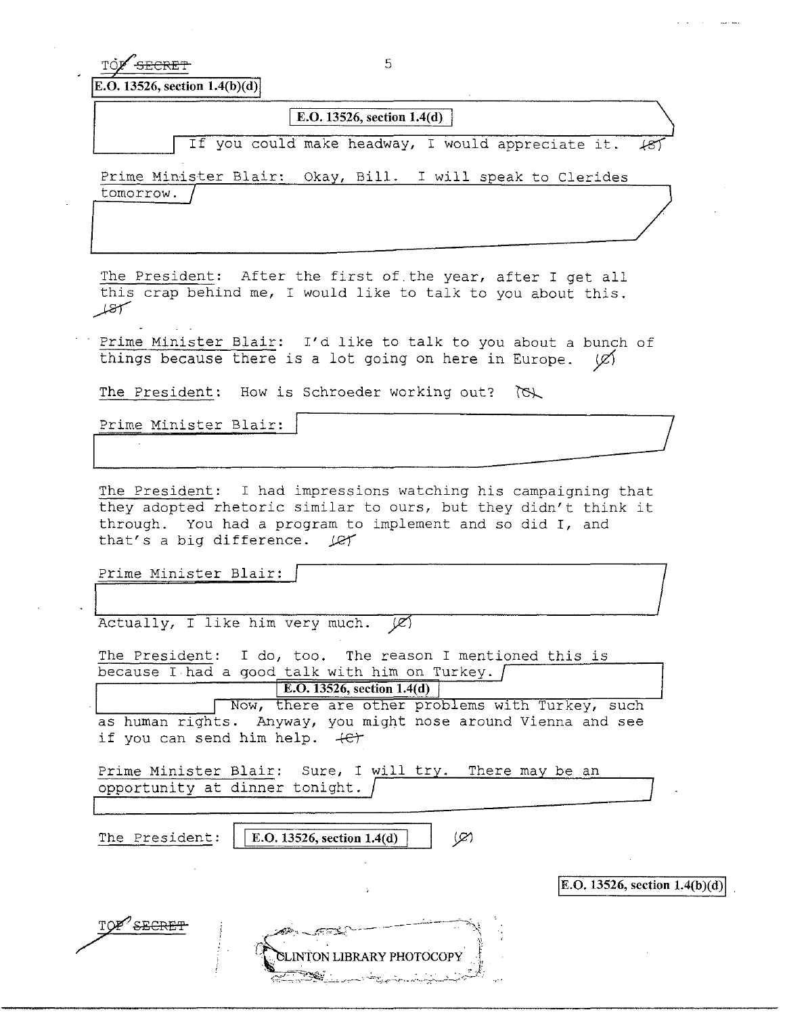TO SECRET 5

**E.O. 13526, section 1.4(b)(d)** 

I **E.O. 13526, section l.4(d)** 

If you could make headway, I would appreciate it.

Prime Minister Blair: Okay, Bill. I will speak to Clerides tomorrow.

The President: After the first of the year, after I get all this crap behind me, I would like to talk to you about this.  $f_{\mathcal{S}}$ 

Prime Minister Blair: I'd like to talk to you about a bunch of things because there is a lot going on here in Europe.  $\varnothing$ 

The President: How is Schroeder working out?  $\forall$ 

Prime Minister Blair:

The President: I had impressions watching his campaigning that they adopted rhetoric similar to ours, but they didn't think it through. You had a program to implement and so did I, and that's a big difference.  $\mathcal{L}$ 

Prime Minister Blair:

Actually, I like him very much.  $(\mathscr{L})$ 

The President: I do, too. The reason I mentioned this is because I had a good talk with him on Turkey.  $\int$ 

**E.O. 13526, section 1.4(d)** 

Now, there are other problems with Turkey, such as human rights. Anyway, you might nose around Vienna and see if you can send him help.  $+e^+$ 

Prime Minister Blair: Sure, I will try. There may be an opportunity at dinner tonight.

The President: | | **E.O. 13526, section 1.4(d)** 

 $\varphi$ 



 $E.O. 13526$ , section  $1.4(b)(d)$